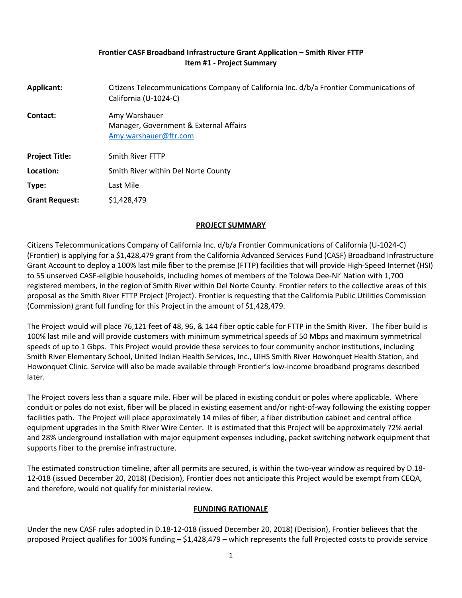### **Frontier CASF Broadband Infrastructure Grant Application – Smith River FTTP Item #1 - Project Summary**

| Applicant:            | Citizens Telecommunications Company of California Inc. d/b/a Frontier Communications of<br>California (U-1024-C) |
|-----------------------|------------------------------------------------------------------------------------------------------------------|
| Contact:              | Amy Warshauer<br>Manager, Government & External Affairs<br>Amy.warshauer@ftr.com                                 |
| <b>Project Title:</b> | <b>Smith River FTTP</b>                                                                                          |
| Location:             | Smith River within Del Norte County                                                                              |
| Type:                 | Last Mile                                                                                                        |
| <b>Grant Request:</b> | \$1,428,479                                                                                                      |

## **PROJECT SUMMARY**

Citizens Telecommunications Company of California Inc. d/b/a Frontier Communications of California (U-1024-C) (Frontier) is applying for a \$1,428,479 grant from the California Advanced Services Fund (CASF) Broadband Infrastructure Grant Account to deploy a 100% last mile fiber to the premise (FTTP) facilities that will provide High-Speed Internet (HSI) to 55 unserved CASF-eligible households, including homes of members of the Tolowa Dee-Ni' Nation with 1,700 registered members, in the region of Smith River within Del Norte County. Frontier refers to the collective areas of this proposal as the Smith River FTTP Project (Project). Frontier is requesting that the California Public Utilities Commission (Commission) grant full funding for this Project in the amount of \$1,428,479.

The Project would will place 76,121 feet of 48, 96, & 144 fiber optic cable for FTTP in the Smith River. The fiber build is 100% last mile and will provide customers with minimum symmetrical speeds of 50 Mbps and maximum symmetrical speeds of up to 1 Gbps. This Project would provide these services to four community anchor institutions, including Smith River Elementary School, United Indian Health Services, Inc., UIHS Smith River Howonquet Health Station, and Howonquet Clinic. Service will also be made available through Frontier's low-income broadband programs described later.

The Project covers less than a square mile. Fiber will be placed in existing conduit or poles where applicable.  Where conduit or poles do not exist, fiber will be placed in existing easement and/or right-of-way following the existing copper facilities path. The Project will place approximately 14 miles of fiber, a fiber distribution cabinet and central office equipment upgrades in the Smith River Wire Center. It is estimated that this Project will be approximately 72% aerial and 28% underground installation with major equipment expenses including, packet switching network equipment that supports fiber to the premise infrastructure.

The estimated construction timeline, after all permits are secured, is within the two-year window as required by D.18- 12-018 (issued December 20, 2018) (Decision), Frontier does not anticipate this Project would be exempt from CEQA, and therefore, would not qualify for ministerial review.

## **FUNDING RATIONALE**

Under the new CASF rules adopted in D.18-12-018 (issued December 20, 2018) (Decision), Frontier believes that the proposed Project qualifies for 100% funding – \$1,428,479 – which represents the full Projected costs to provide service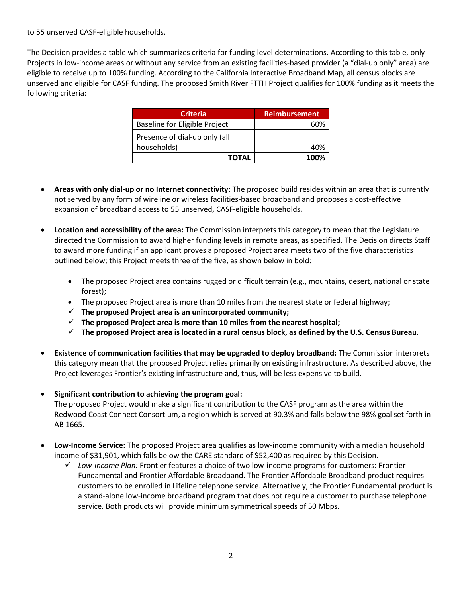to 55 unserved CASF-eligible households.

The Decision provides a table which summarizes criteria for funding level determinations. According to this table, only Projects in low-income areas or without any service from an existing facilities-based provider (a "dial-up only" area) are eligible to receive up to 100% funding. According to the California Interactive Broadband Map, all census blocks are unserved and eligible for CASF funding. The proposed Smith River FTTH Project qualifies for 100% funding as it meets the following criteria:

| <b>Criteria</b>               | <b>Reimbursement</b> |
|-------------------------------|----------------------|
| Baseline for Eligible Project | 60%                  |
| Presence of dial-up only (all |                      |
| households)                   | 40%                  |
| TOTAL                         | 100%                 |

- **Areas with only dial-up or no Internet connectivity:** The proposed build resides within an area that is currently not served by any form of wireline or wireless facilities-based broadband and proposes a cost-effective expansion of broadband access to 55 unserved, CASF-eligible households.
- **Location and accessibility of the area:** The Commission interprets this category to mean that the Legislature directed the Commission to award higher funding levels in remote areas, as specified. The Decision directs Staff to award more funding if an applicant proves a proposed Project area meets two of the five characteristics outlined below; this Project meets three of the five, as shown below in bold:
	- The proposed Project area contains rugged or difficult terrain (e.g., mountains, desert, national or state forest);
	- The proposed Project area is more than 10 miles from the nearest state or federal highway;
	- ✓ **The proposed Project area is an unincorporated community;**
	- ✓ **The proposed Project area is more than 10 miles from the nearest hospital;**
	- ✓ **The proposed Project area is located in a rural census block, as defined by the U.S. Census Bureau.**
- **Existence of communication facilities that may be upgraded to deploy broadband:** The Commission interprets this category mean that the proposed Project relies primarily on existing infrastructure. As described above, the Project leverages Frontier's existing infrastructure and, thus, will be less expensive to build.
- **Significant contribution to achieving the program goal:**  The proposed Project would make a significant contribution to the CASF program as the area within the Redwood Coast Connect Consortium, a region which is served at 90.3% and falls below the 98% goal set forth in AB 1665.
- **Low-Income Service:** The proposed Project area qualifies as low-income community with a median household income of \$31,901, which falls below the CARE standard of \$52,400 as required by this Decision.
	- ✓ *Low-Income Plan:* Frontier features a choice of two low-income programs for customers: Frontier Fundamental and Frontier Affordable Broadband. The Frontier Affordable Broadband product requires customers to be enrolled in Lifeline telephone service. Alternatively, the Frontier Fundamental product is a stand-alone low-income broadband program that does not require a customer to purchase telephone service. Both products will provide minimum symmetrical speeds of 50 Mbps.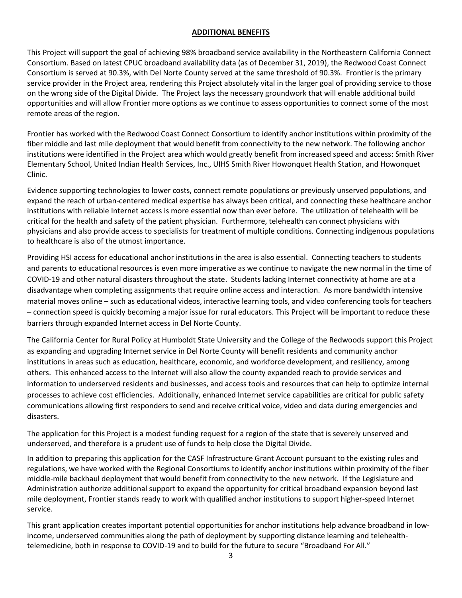### **ADDITIONAL BENEFITS**

This Project will support the goal of achieving 98% broadband service availability in the Northeastern California Connect Consortium. Based on latest CPUC broadband availability data (as of December 31, 2019), the Redwood Coast Connect Consortium is served at 90.3%, with Del Norte County served at the same threshold of 90.3%. Frontier is the primary service provider in the Project area, rendering this Project absolutely vital in the larger goal of providing service to those on the wrong side of the Digital Divide. The Project lays the necessary groundwork that will enable additional build opportunities and will allow Frontier more options as we continue to assess opportunities to connect some of the most remote areas of the region.

Frontier has worked with the Redwood Coast Connect Consortium to identify anchor institutions within proximity of the fiber middle and last mile deployment that would benefit from connectivity to the new network. The following anchor institutions were identified in the Project area which would greatly benefit from increased speed and access: Smith River Elementary School, United Indian Health Services, Inc., UIHS Smith River Howonquet Health Station, and Howonquet Clinic.

Evidence supporting technologies to lower costs, connect remote populations or previously unserved populations, and expand the reach of urban-centered medical expertise has always been critical, and connecting these healthcare anchor institutions with reliable Internet access is more essential now than ever before. The utilization of telehealth will be critical for the health and safety of the patient physician. Furthermore, telehealth can connect physicians with physicians and also provide access to specialists for treatment of multiple conditions. Connecting indigenous populations to healthcare is also of the utmost importance.

Providing HSI access for educational anchor institutions in the area is also essential. Connecting teachers to students and parents to educational resources is even more imperative as we continue to navigate the new normal in the time of COVID-19 and other natural disasters throughout the state. Students lacking Internet connectivity at home are at a disadvantage when completing assignments that require online access and interaction. As more bandwidth intensive material moves online – such as educational videos, interactive learning tools, and video conferencing tools for teachers – connection speed is quickly becoming a major issue for rural educators. This Project will be important to reduce these barriers through expanded Internet access in Del Norte County.

The California Center for Rural Policy at Humboldt State University and the College of the Redwoods support this Project as expanding and upgrading Internet service in Del Norte County will benefit residents and community anchor institutions in areas such as education, healthcare, economic, and workforce development, and resiliency, among others. This enhanced access to the Internet will also allow the county expanded reach to provide services and information to underserved residents and businesses, and access tools and resources that can help to optimize internal processes to achieve cost efficiencies. Additionally, enhanced Internet service capabilities are critical for public safety communications allowing first responders to send and receive critical voice, video and data during emergencies and disasters.

The application for this Project is a modest funding request for a region of the state that is severely unserved and underserved, and therefore is a prudent use of funds to help close the Digital Divide.

In addition to preparing this application for the CASF Infrastructure Grant Account pursuant to the existing rules and regulations, we have worked with the Regional Consortiums to identify anchor institutions within proximity of the fiber middle-mile backhaul deployment that would benefit from connectivity to the new network. If the Legislature and Administration authorize additional support to expand the opportunity for critical broadband expansion beyond last mile deployment, Frontier stands ready to work with qualified anchor institutions to support higher-speed Internet service.

This grant application creates important potential opportunities for anchor institutions help advance broadband in lowincome, underserved communities along the path of deployment by supporting distance learning and telehealthtelemedicine, both in response to COVID-19 and to build for the future to secure "Broadband For All."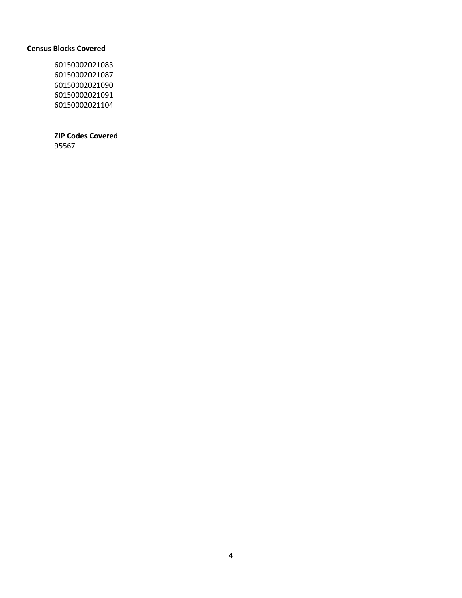#### **Census Blocks Covered**

 

## **ZIP Codes Covered**